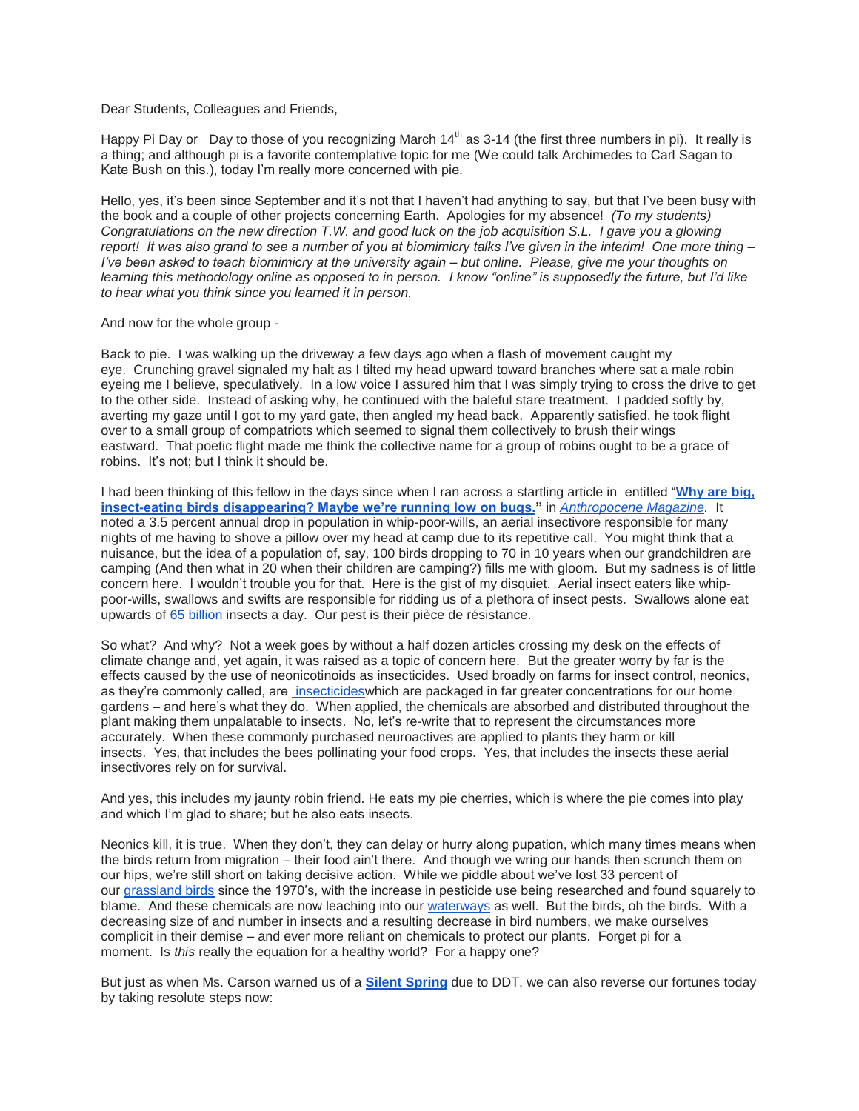Dear Students, Colleagues and Friends,

Happy Pi Day or Day to those of you recognizing March  $14<sup>th</sup>$  as 3-14 (the first three numbers in pi). It really is a thing; and although pi is a favorite contemplative topic for me (We could talk Archimedes to Carl Sagan to Kate Bush on this.), today I'm really more concerned with pie.

Hello, yes, it's been since September and it's not that I haven't had anything to say, but that I've been busy with the book and a couple of other projects concerning Earth. Apologies for my absence! *(To my students) Congratulations on the new direction T.W. and good luck on the job acquisition S.L. I gave you a glowing report! It was also grand to see a number of you at biomimicry talks I've given in the interim! One more thing – I've been asked to teach biomimicry at the university again – but online. Please, give me your thoughts on learning this methodology online as opposed to in person. I know "online" is supposedly the future, but I'd like to hear what you think since you learned it in person.*

And now for the whole group -

Back to pie. I was walking up the driveway a few days ago when a flash of movement caught my eye. Crunching gravel signaled my halt as I tilted my head upward toward branches where sat a male robin eyeing me I believe, speculatively. In a low voice I assured him that I was simply trying to cross the drive to get to the other side. Instead of asking why, he continued with the baleful stare treatment. I padded softly by, averting my gaze until I got to my yard gate, then angled my head back. Apparently satisfied, he took flight over to a small group of compatriots which seemed to signal them collectively to brush their wings eastward. That poetic flight made me think the collective name for a group of robins ought to be a grace of robins. It's not; but I think it should be.

I had been thinking of this fellow in the days since when I ran across a startling article in entitled "**[Why are big,](http://www.anthropocenemagazine.org/2018/03/running-out-of-bugs/)  [insect-eating birds disappearing? Maybe we're running low on bugs."](http://www.anthropocenemagazine.org/2018/03/running-out-of-bugs/)** in *[Anthropocene Magazine.](http://www.anthropocenemagazine.org/)* It noted a 3.5 percent annual drop in population in whip-poor-wills, an aerial insectivore responsible for many nights of me having to shove a pillow over my head at camp due to its repetitive call. You might think that a nuisance, but the idea of a population of, say, 100 birds dropping to 70 in 10 years when our grandchildren are camping (And then what in 20 when their children are camping?) fills me with gloom. But my sadness is of little concern here. I wouldn't trouble you for that. Here is the gist of my disquiet. Aerial insect eaters like whippoor-wills, swallows and swifts are responsible for ridding us of a plethora of insect pests. Swallows alone eat upwards of [65 billion](https://www.birdnote.org/show/swallows-swallow) insects a day. Our pest is their pièce de résistance.

So what? And why? Not a week goes by without a half dozen articles crossing my desk on the effects of climate change and, yet again, it was raised as a topic of concern here. But the greater worry by far is the effects caused by the use of neonicotinoids as insecticides. Used broadly on farms for insect control, neonics, as they're commonly called, are insecticides which are packaged in far greater concentrations for our home gardens – and here's what they do. When applied, the chemicals are absorbed and distributed throughout the plant making them unpalatable to insects. No, let's re-write that to represent the circumstances more accurately. When these commonly purchased neuroactives are applied to plants they harm or kill insects. Yes, that includes the bees pollinating your food crops. Yes, that includes the insects these aerial insectivores rely on for survival.

And yes, this includes my jaunty robin friend. He eats my pie cherries, which is where the pie comes into play and which I'm glad to share; but he also eats insects.

Neonics kill, it is true. When they don't, they can delay or hurry along pupation, which many times means when the birds return from migration – their food ain't there. And though we wring our hands then scrunch them on our hips, we're still short on taking decisive action. While we piddle about we've lost 33 percent of our [grassland birds](http://www.audubon.org/magazine/spring-2017/the-same-pesticides-linked-bee-declines-might) since the 1970's, with the increase in pesticide use being researched and found squarely to blame. And these chemicals are now leaching into our [waterways](http://www.audubon.org/magazine/spring-2017/the-same-pesticides-linked-bee-declines-might) as well. But the birds, oh the birds. With a decreasing size of and number in insects and a resulting decrease in bird numbers, we make ourselves complicit in their demise – and ever more reliant on chemicals to protect our plants. Forget pi for a moment. Is *this* really the equation for a healthy world? For a happy one?

But just as when Ms. Carson warned us of a **[Silent Spring](http://www.rachelcarson.org/SilentSpring.aspx)** due to DDT, we can also reverse our fortunes today by taking resolute steps now: